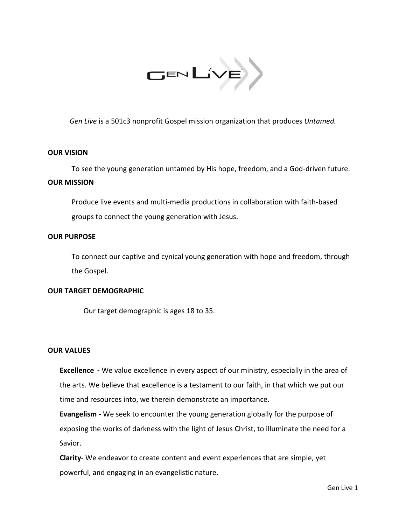

*Gen Live* is a 501c3 nonprofit Gospel mission organization that produces *Untamed.*

## **OUR VISION**

To see the young generation untamed by His hope, freedom, and a God-driven future. **OUR MISSION** 

Produce live events and multi-media productions in collaboration with faith-based groups to connect the young generation with Jesus.

## **OUR PURPOSE**

To connect our captive and cynical young generation with hope and freedom, through the Gospel.

#### **OUR TARGET DEMOGRAPHIC**

Our target demographic is ages 18 to 35.

## **OUR VALUES**

**Excellence -** We value excellence in every aspect of our ministry, especially in the area of the arts. We believe that excellence is a testament to our faith, in that which we put our time and resources into, we therein demonstrate an importance.

**Evangelism -** We seek to encounter the young generation globally for the purpose of exposing the works of darkness with the light of Jesus Christ, to illuminate the need for a Savior.

**Clarity-** We endeavor to create content and event experiences that are simple, yet powerful, and engaging in an evangelistic nature.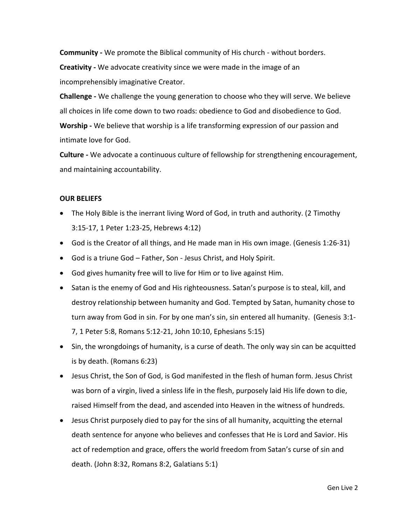**Community -** We promote the Biblical community of His church - without borders.

**Creativity -** We advocate creativity since we were made in the image of an incomprehensibly imaginative Creator.

**Challenge -** We challenge the young generation to choose who they will serve. We believe all choices in life come down to two roads: obedience to God and disobedience to God. **Worship -** We believe that worship is a life transforming expression of our passion and intimate love for God.

**Culture -** We advocate a continuous culture of fellowship for strengthening encouragement, and maintaining accountability.

# **OUR BELIEFS**

- The Holy Bible is the inerrant living Word of God, in truth and authority. (2 Timothy 3:15-17, 1 Peter 1:23-25, Hebrews 4:12)
- God is the Creator of all things, and He made man in His own image. (Genesis 1:26-31)
- God is a triune God Father, Son Jesus Christ, and Holy Spirit.
- God gives humanity free will to live for Him or to live against Him.
- Satan is the enemy of God and His righteousness. Satan's purpose is to steal, kill, and destroy relationship between humanity and God. Tempted by Satan, humanity chose to turn away from God in sin. For by one man's sin, sin entered all humanity. (Genesis 3:1- 7, 1 Peter 5:8, Romans 5:12-21[, John 10:10,](https://www.biblegateway.com/passage/?search=John+10:10&version=NKJV) [Ephesians 5:15\)](https://www.biblegateway.com/passage/?search=Ephesians+5:15&version=NKJV)
- Sin, the wrongdoings of humanity, is a curse of death. The only way sin can be acquitted is by death. [\(Romans 6:23\)](https://www.biblegateway.com/passage/?search=Romans+6:23&version=NKJV)
- Jesus Christ, the Son of God, is God manifested in the flesh of human form. Jesus Christ was born of a virgin, lived a sinless life in the flesh, purposely laid His life down to die, raised Himself from the dead, and ascended into Heaven in the witness of hundreds.
- Jesus Christ purposely died to pay for the sins of all humanity, acquitting the eternal death sentence for anyone who believes and confesses that He is Lord and Savior. His act of redemption and grace, offers the world freedom from Satan's curse of sin and death. [\(John 8:32,](https://www.biblegateway.com/passage/?search=John+8:32&version=NKJV) [Romans 8:2,](https://www.biblegateway.com/passage/?search=Romans+8:2&version=NKJV) [Galatians 5:1\)](https://www.biblegateway.com/passage/?search=Galatians+5:1&version=NKJV)